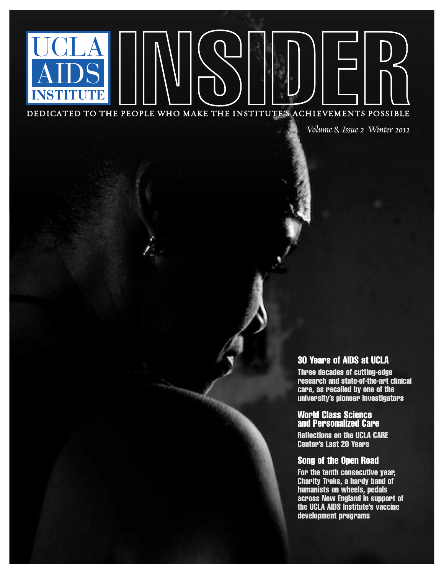DEDICATED TO THE PEOPLE WHO MAKE THE INSTITUTE'S ACHIEVEMENTS POSSIBLE

*Volume 8, Issue 2 Winter 2012* 

### 30 Years of AIDS at UCLA

Three decades of cutting-edge research and state-of-the-art clinical care, as recalled by one of the university's pioneer investigators

#### World Class Science and Personalized Care

Reflections on the UCLA CARE Center's Last 20 Years

#### Song of the Open Road

For the tenth consecutive year, Charity Treks, a hardy band of humanists on wheels, pedals across New England in support of the UCLA AIDS Institute's vaccine development programs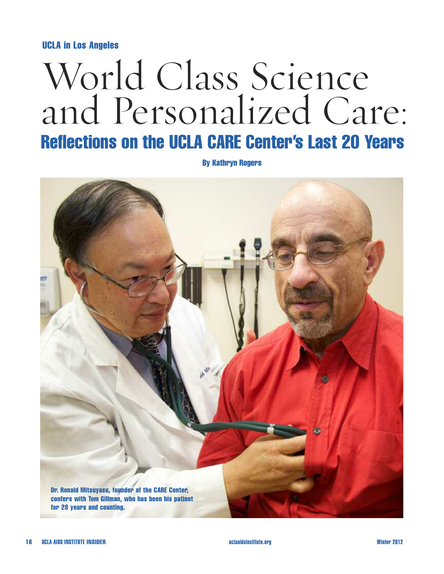#### UCLA in Los Angeles

# World Class Science and Personalized Care: Reflections on the UCLA CARE Center's Last 20 Years

By Kathryn Rogers

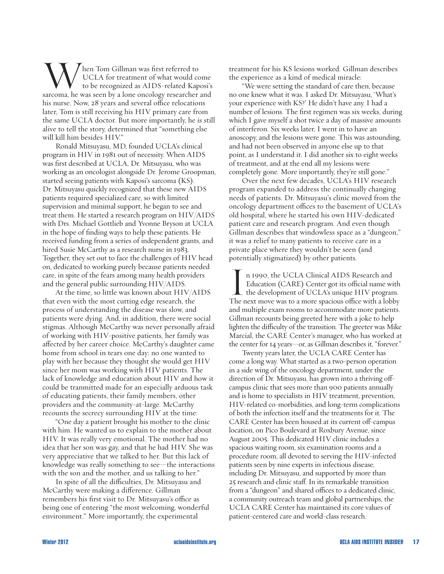When Tom Gillman was first referred to<br>UCLA for treatment of what would come<br>to be recognized as AIDS-related Kaposi's<br>sarcoma, he was seen by a lone oncology researcher and UCLA for treatment of what would come to be recognized as AIDS-related Kaposi's his nurse. Now, 28 years and several office relocations later, Tom is still receiving his HIV primary care from the same UCLA doctor. But more importantly, he is still alive to tell the story, determined that "something else will kill him besides HIV."

Ronald Mitsuyasu, MD, founded UCLA's clinical program in HIV in 1981 out of necessity. When AIDS was first described at UCLA, Dr. Mitsuyasu, who was working as an oncologist alongside Dr. Jerome Groopman, started seeing patients with Kaposi's sarcoma (KS). Dr. Mitsuyasu quickly recognized that these new AIDS patients required specialized care, so with limited supervision and minimal support, he began to see and treat them. He started a research program on HIV/AIDS with Drs. Michael Gottlieb and Yvonne Bryson at UCLA in the hope of finding ways to help these patients. He received funding from a series of independent grants, and hired Susie McCarthy as a research nurse in 1983. Together, they set out to face the challenges of HIV head on, dedicated to working purely because patients needed care, in spite of the fears among many health providers and the general public surrounding HIV/AIDS.

At the time, so little was known about HIV/AIDS that even with the most cutting edge research, the process of understanding the disease was slow, and patients were dying. And, in addition, there were social stigmas. Although McCarthy was never personally afraid of working with HIV-positive patients, her family was affected by her career choice. McCarthy's daughter came home from school in tears one day: no one wanted to play with her because they thought she would get HIV since her mom was working with HIV patients. The lack of knowledge and education about HIV and how it could be tranmitted made for an especially arduous task of educating patients, their family members, other providers and the community-at-large. McCarthy recounts the secrecy surrounding HIV at the time:

"One day a patient brought his mother to the clinic with him. He wanted us to explain to the mother about HIV. It was really very emotional. The mother had no idea that her son was gay, and that he had HIV. She was very appreciative that we talked to her. But this lack of knowledge was really something to see—the interactions with the son and the mother, and us talking to her."

In spite of all the difficulties, Dr. Mitsuyasu and McCarthy were making a difference. Gillman remembers his first visit to Dr. Mitsuyasu's office as being one of entering "the most welcoming, wonderful environment." More importantly, the experimental

treatment for his KS lesions worked. Gillman describes the experience as a kind of medical miracle:

"We were setting the standard of care then, because no one knew what it was. I asked Dr. Mitsuyasu, 'What's your experience with KS?' He didn't have any. I had a number of lesions. The first regimen was six weeks, during which I gave myself a shot twice a day of massive amounts of interferon. Six weeks later, I went in to have an anoscopy, and the lesions were gone. This was astounding, and had not been observed in anyone else up to that point, as I understand it. I did another six to eight weeks of treatment, and at the end all my lesions were completely gone. More importantly, they're still gone."

Over the next few decades, UCLA's HIV research program expanded to address the continually changing needs of patients. Dr. Mitsuyasu's clinic moved from the oncology department offices to the basement of UCLA's old hospital, where he started his own HIV-dedicated patient care and research program. And even though Gillman describes that windowless space as a "dungeon," it was a relief to many patients to receive care in a private place where they wouldn't be seen (and potentially stigmatized) by other patients.

In 1990, the UCLA Clinical AIDS Research and Education (CARE) Center got its official name with the development of UCLA's unique HIV program.<br>The next move was to a more spacious office with a lobby n 1990, the UCLA Clinical AIDS Research and Education (CARE) Center got its official name with the development of UCLA's unique HIV program. and multiple exam rooms to accommodate more patients. Gillman recounts being greeted here with a joke to help lighten the difficulty of the transition. The greeter was Mike Marcial, the CARE Center's manager, who has worked at the center for 14 years—or, as Gillman describes it, "forever."

Twenty years later, the UCLA CARE Center has come a long way. What started as a two-person operation in a side wing of the oncology department, under the direction of Dr. Mitsuyasu, has grown into a thriving offcampus clinic that sees more than 900 patients annually and is home to specialists in HIV treatment, prevention, HIV-related co-morbidities, and long-term complications of both the infection itself and the treatments for it. The CARE Center has been housed at its current off-campus location, on Pico Boulevard at Roxbury Avenue, since August 2005. This dedicated HIV clinic includes a spacious waiting room, six examination rooms and a procedure room, all devoted to serving the HIV-infected patients seen by nine experts in infectious disease, including Dr. Mitsuyasu, and supported by more than 25 research and clinic staff. In its remarkable transition from a "dungeon" and shared offices to a dedicated clinic, a community outreach team and global partnerships, the UCLA CARE Center has maintained its core values of patient-centered care and world-class research.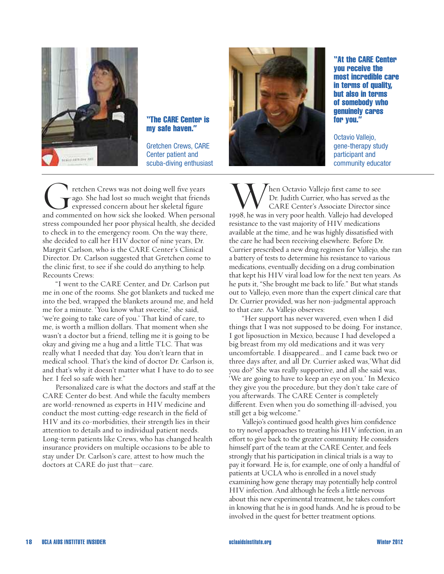

#### "The CARE Center is my safe haven."

Gretchen Crews, CARE Center patient and scuba-diving enthusiast

Tetchen Crews was not doing well five years<br>ago. She had lost so much weight that friends<br>and commented on how sick she looked. When personal ago. She had lost so much weight that friends expressed concern about her skeletal figure stress compounded her poor physical health, she decided to check in to the emergency room. On the way there, she decided to call her HIV doctor of nine years, Dr. Margrit Carlson, who is the CARE Center's Clinical Director. Dr. Carlson suggested that Gretchen come to the clinic first, to see if she could do anything to help. Recounts Crews:

"I went to the CARE Center, and Dr. Carlson put me in one of the rooms. She got blankets and tucked me into the bed, wrapped the blankets around me, and held me for a minute. 'You know what sweetie,' she said, 'we're going to take care of you.' That kind of care, to me, is worth a million dollars. That moment when she wasn't a doctor but a friend, telling me it is going to be okay and giving me a hug and a little TLC. That was really what I needed that day. You don't learn that in medical school. That's the kind of doctor Dr. Carlson is, and that's why it doesn't matter what I have to do to see her. I feel so safe with her."

Personalized care is what the doctors and staff at the CARE Center do best. And while the faculty members are world-renowned as experts in HIV medicine and conduct the most cutting-edge research in the field of HIV and its co-morbidities, their strength lies in their attention to details and to individual patient needs. Long-term patients like Crews, who has changed health insurance providers on multiple occasions to be able to stay under Dr. Carlson's care, attest to how much the doctors at CARE do just that—care.



"At the CARE Center you receive the most incredible care in terms of quality, but also in terms of somebody who genuinely cares for you."

Octavio Vallejo, gene-therapy study participant and community educator

When Octavio Vallejo first came to see<br>Dr. Judith Currier, who has served as the<br>1998, he was in very poor health. Vallejo had developed Dr. Judith Currier, who has served as the CARE Center's Associate Director since resistance to the vast majority of HIV medications available at the time, and he was highly dissatisfied with the care he had been receiving elsewhere. Before Dr. Currier prescribed a new drug regimen for Vallejo, she ran a battery of tests to determine his resistance to various medications, eventually deciding on a drug combination that kept his HIV viral load low for the next ten years. As he puts it, "She brought me back to life." But what stands out to Vallejo, even more than the expert clinical care that Dr. Currier provided, was her non-judgmental approach to that care. As Vallejo observes:

"Her support has never wavered, even when I did things that I was not supposed to be doing. For instance, I got liposuction in Mexico, because I had developed a big breast from my old medications and it was very uncomfortable. I disappeared... and I came back two or three days after, and all Dr. Currier asked was,'What did you do?' She was really supportive, and all she said was, 'We are going to have to keep an eye on you.' In Mexico they give you the procedure, but they don't take care of you afterwards. The CARE Center is completely different. Even when you do something ill-advised, you still get a big welcome."

Vallejo's continued good health gives him confidence to try novel approaches to treating his HIV infection, in an effort to give back to the greater community. He considers himself part of the team at the CARE Center, and feels strongly that his participation in clinical trials is a way to pay it forward. He is, for example, one of only a handful of patients at UCLA who is enrolled in a novel study examining how gene therapy may potentially help control HIV infection. And although he feels a little nervous about this new experimental treatment, he takes comfort in knowing that he is in good hands. And he is proud to be involved in the quest for better treatment options.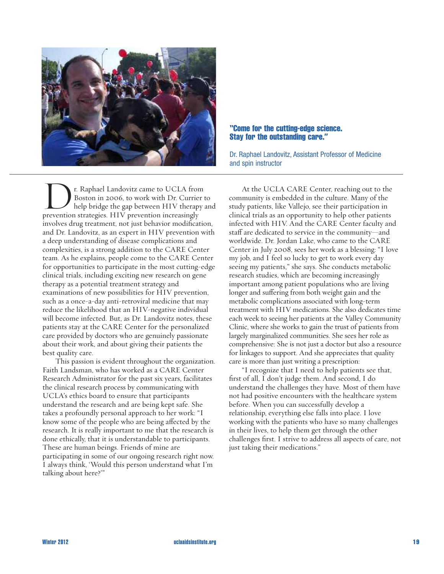

#### "Come for the cutting-edge science. Stay for the outstanding care."

Dr. Raphael Landovitz, Assistant Professor of Medicine and spin instructor

**Dr. Raphael Landovitz came to UCLA from Boston in 2006, to work with Dr. Currier help bridge the gap between HIV therapy prevention strategies. HIV prevention increasingly** Boston in 2006, to work with Dr. Currier to help bridge the gap between HIV therapy and involves drug treatment, not just behavior modification, and Dr. Landovitz, as an expert in HIV prevention with a deep understanding of disease complications and complexities, is a strong addition to the CARE Center team. As he explains, people come to the CARE Center for opportunities to participate in the most cutting-edge clinical trials, including exciting new research on gene therapy as a potential treatment strategy and examinations of new possibilities for HIV prevention, such as a once-a-day anti-retroviral medicine that may reduce the likelihood that an HIV-negative individual will become infected. But, as Dr. Landovitz notes, these patients stay at the CARE Center for the personalized care provided by doctors who are genuinely passionate about their work, and about giving their patients the best quality care.

This passion is evident throughout the organization. Faith Landsman, who has worked as a CARE Center Research Administrator for the past six years, facilitates the clinical research process by communicating with UCLA's ethics board to ensure that participants understand the research and are being kept safe. She takes a profoundly personal approach to her work: "I know some of the people who are being affected by the research. It is really important to me that the research is done ethically, that it is understandable to participants. These are human beings. Friends of mine are participating in some of our ongoing research right now. I always think, 'Would this person understand what I'm talking about here?'"

At the UCLA CARE Center, reaching out to the community is embedded in the culture. Many of the study patients, like Vallejo, see their participation in clinical trials as an opportunity to help other patients infected with HIV. And the CARE Center faculty and staff are dedicated to service in the community—and worldwide. Dr. Jordan Lake, who came to the CARE Center in July 2008, sees her work as a blessing: "I love my job, and I feel so lucky to get to work every day seeing my patients," she says. She conducts metabolic research studies, which are becoming increasingly important among patient populations who are living longer and suffering from both weight gain and the metabolic complications associated with long-term treatment with HIV medications. She also dedicates time each week to seeing her patients at the Valley Community Clinic, where she works to gain the trust of patients from largely marginalized communities. She sees her role as comprehensive: She is not just a doctor but also a resource for linkages to support. And she appreciates that quality care is more than just writing a prescription:

"I recognize that I need to help patients see that, first of all, I don't judge them. And second, I do understand the challenges they have. Most of them have not had positive encounters with the healthcare system before. When you can successfully develop a relationship, everything else falls into place. I love working with the patients who have so many challenges in their lives, to help them get through the other challenges first. I strive to address all aspects of care, not just taking their medications."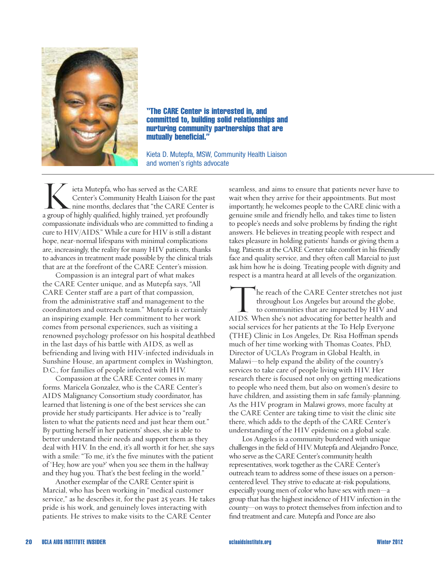

"The CARE Center is interested in, and committed to, building solid relationships and nurturing community partnerships that are mutually beneficial."

Kieta D. Mutepfa, MSW, Community Health Liaison and women's rights advocate

**K**ieta Mutepfa, who has served as the CARE<br>Center's Community Health Liaison for the pa<br>nine months, declares that "the CARE Center<br>a group of highly qualified, highly trained, yet profoundly Center's Community Health Liaison for the past nine months, declares that "the CARE Center is compassionate individuals who are committed to finding a cure to HIV/AIDS." While a cure for HIV is still a distant hope, near-normal lifespans with minimal complications are, increasingly, the reality for many HIV patients, thanks to advances in treatment made possible by the clinical trials that are at the forefront of the CARE Center's mission.

Compassion is an integral part of what makes the CARE Center unique, and as Mutepfa says, "All CARE Center staff are a part of that compassion, from the administrative staff and management to the coordinators and outreach team." Mutepfa is certainly an inspiring example. Her commitment to her work comes from personal experiences, such as visiting a renowned psychology professor on his hospital deathbed in the last days of his battle with AIDS, as well as befriending and living with HIV-infected individuals in Sunshine House, an apartment complex in Washington, D.C., for families of people infected with HIV.

Compassion at the CARE Center comes in many forms. Maricela Gonzalez, who is the CARE Center's AIDS Malignancy Consortium study coordinator, has learned that listening is one of the best services she can provide her study participants. Her advice is to "really listen to what the patients need and just hear them out." By putting herself in her patients' shoes, she is able to better understand their needs and support them as they deal with HIV. In the end, it's all worth it for her, she says with a smile: "To me, it's the five minutes with the patient of 'Hey, how are you?' when you see them in the hallway and they hug you. That's the best feeling in the world."

Another exemplar of the CARE Center spirit is Marcial, who has been working in "medical customer service," as he describes it, for the past 25 years. He takes pride is his work, and genuinely loves interacting with patients. He strives to make visits to the CARE Center

seamless, and aims to ensure that patients never have to wait when they arrive for their appointments. But most importantly, he welcomes people to the CARE clinic with a genuine smile and friendly hello, and takes time to listen to people's needs and solve problems by finding the right answers. He believes in treating people with respect and takes pleasure in holding patients' hands or giving them a hug. Patients at the CARE Center take comfort in his friendly face and quality service, and they often call Marcial to just ask him how he is doing. Treating people with dignity and respect is a mantra heard at all levels of the organization.

The reach of the CARE Center stretches not just<br>throughout Los Angeles but around the globe,<br>to communities that are impacted by HIV and<br>AIDS. When she's not advocating for better health and throughout Los Angeles but around the globe, to communities that are impacted by HIV and social services for her patients at the To Help Everyone (THE) Clinic in Los Angeles, Dr. Risa Hoffman spends much of her time working with Thomas Coates, PhD, Director of UCLA's Program in Global Health, in Malawi—to help expand the ability of the country's services to take care of people living with HIV. Her research there is focused not only on getting medications to people who need them, but also on women's desire to have children, and assisting them in safe family-planning. As the HIV program in Malawi grows, more faculty at the CARE Center are taking time to visit the clinic site there, which adds to the depth of the CARE Center's understanding of the HIV epidemic on a global scale.

Los Angeles is a community burdened with unique challenges in the field of HIV. Mutepfa and Alejandro Ponce, who serve as the CARE Center's community health representatives, work together as the CARE Center's outreach team to address some of these issues on a personcentered level. They strive to educate at-risk populations, especially young men of color who have sex with men—a group that has the highest incidence of HIV infection in the county—on ways to protect themselves from infection and to find treatment and care. Mutepfa and Ponce are also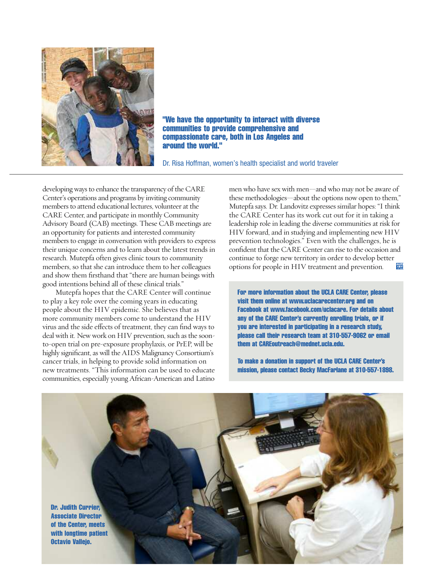

"We have the opportunity to interact with diverse communities to provide comprehensive and compassionate care, both in Los Angeles and around the world."

Dr. Risa Hoffman, women's health specialist and world traveler

developing ways to enhance the transparency of the CARE Center's operations and programs by inviting community members to attend educational lectures, volunteer at the CARE Center, and participate in monthly Community Advisory Board (CAB) meetings. These CAB meetings are an opportunity for patients and interested community members to engage in conversation with providers to express their unique concerns and to learn about the latest trends in research. Mutepfa often gives clinic tours to community members, so that she can introduce them to her colleagues and show them firsthand that "there are human beings with good intentions behind all of these clinical trials."

Mutepfa hopes that the CARE Center will continue to play a key role over the coming years in educating people about the HIV epidemic. She believes that as more community members come to understand the HIV virus and the side effects of treatment, they can find ways to deal with it. New work on HIV prevention, such as the soonto-open trial on pre-exposure prophylaxis, or PrEP, will be highly significant, as will the AIDS Malignancy Consortium's cancer trials, in helping to provide solid information on new treatments. "This information can be used to educate communities, especially young African-American and Latino men who have sex with men—and who may not be aware of these methodologies—about the options now open to them," Mutepfa says. Dr. Landovitz expresses similar hopes: "I think the CARE Center has its work cut out for it in taking a leadership role in leading the diverse communities at risk for HIV forward, and in studying and implementing new HIV prevention technologies." Even with the challenges, he is confident that the CARE Center can rise to the occasion and continue to forge new territory in order to develop better options for people in HIV treatment and prevention.

For more information about the UCLA CARE Center, please visit them online at www.uclacarecenter.org and on Facebook at www.facebook.com/uclacare. For details about any of the CARE Center's currently enrolling trials, or if you are interested in participating in a research study, please call their research team at 310-557-9062 or email them at CAREoutreach@mednet.ucla.edu.

To make a donation in support of the UCLA CARE Center's mission, please contact Becky MacFarlane at 310-557-1898.